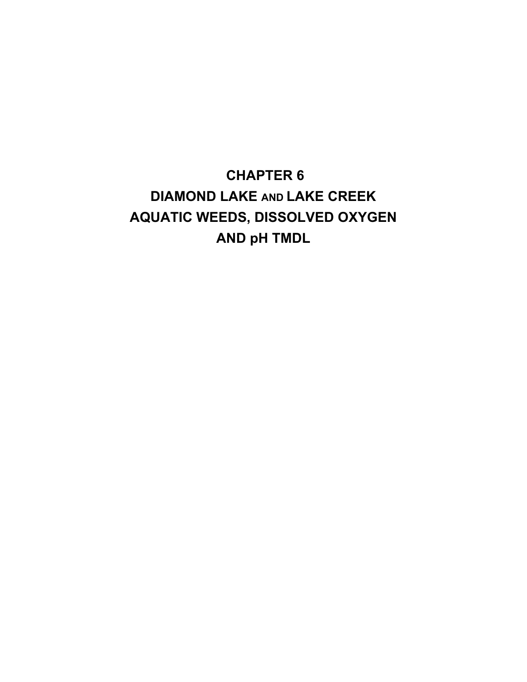**CHAPTER 6 DIAMOND LAKE AND LAKE CREEK AQUATIC WEEDS, DISSOLVED OXYGEN AND pH TMDL**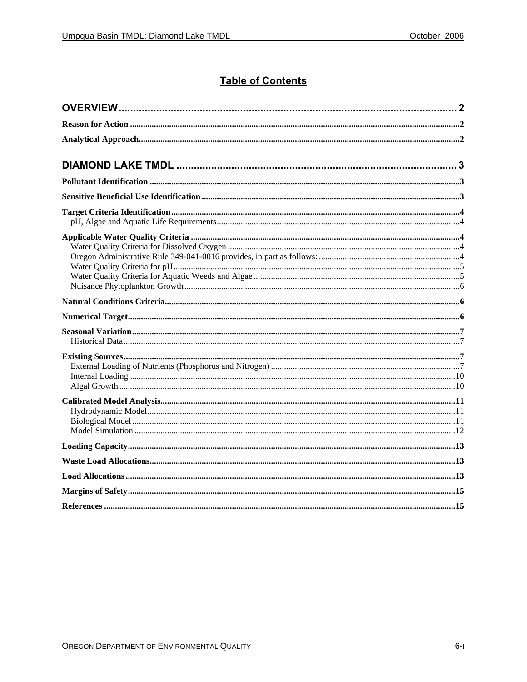### **Table of Contents**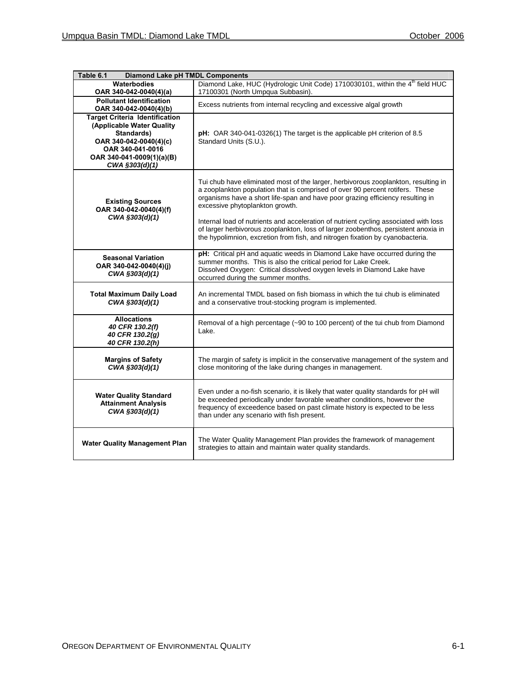| <b>Diamond Lake pH TMDL Components</b><br>Table 6.1                                                                                                                           |                                                                                                                                                                                                                                                                                                                                                                                                                                                                                                                                                         |  |  |  |  |  |  |
|-------------------------------------------------------------------------------------------------------------------------------------------------------------------------------|---------------------------------------------------------------------------------------------------------------------------------------------------------------------------------------------------------------------------------------------------------------------------------------------------------------------------------------------------------------------------------------------------------------------------------------------------------------------------------------------------------------------------------------------------------|--|--|--|--|--|--|
| Waterbodies<br>OAR 340-042-0040(4)(a)                                                                                                                                         | Diamond Lake, HUC (Hydrologic Unit Code) 1710030101, within the 4 <sup>th</sup> field HUC<br>17100301 (North Umpqua Subbasin).                                                                                                                                                                                                                                                                                                                                                                                                                          |  |  |  |  |  |  |
| <b>Pollutant Identification</b><br>OAR 340-042-0040(4)(b)                                                                                                                     | Excess nutrients from internal recycling and excessive algal growth                                                                                                                                                                                                                                                                                                                                                                                                                                                                                     |  |  |  |  |  |  |
| <b>Target Criteria Identification</b><br>(Applicable Water Quality<br>Standards)<br>OAR 340-042-0040(4)(c)<br>OAR 340-041-0016<br>OAR 340-041-0009(1)(a)(B)<br>CWA §303(d)(1) | pH: OAR 340-041-0326(1) The target is the applicable pH criterion of 8.5<br>Standard Units (S.U.).                                                                                                                                                                                                                                                                                                                                                                                                                                                      |  |  |  |  |  |  |
| <b>Existing Sources</b><br>OAR 340-042-0040(4)(f)<br>CWA §303(d)(1)                                                                                                           | Tui chub have eliminated most of the larger, herbivorous zooplankton, resulting in<br>a zooplankton population that is comprised of over 90 percent rotifers. These<br>organisms have a short life-span and have poor grazing efficiency resulting in<br>excessive phytoplankton growth.<br>Internal load of nutrients and acceleration of nutrient cycling associated with loss<br>of larger herbivorous zooplankton, loss of larger zoobenthos, persistent anoxia in<br>the hypolimnion, excretion from fish, and nitrogen fixation by cyanobacteria. |  |  |  |  |  |  |
| <b>Seasonal Variation</b><br>OAR 340-042-0040(4)(j)<br>CWA §303(d)(1)                                                                                                         | pH: Critical pH and aquatic weeds in Diamond Lake have occurred during the<br>summer months. This is also the critical period for Lake Creek.<br>Dissolved Oxygen: Critical dissolved oxygen levels in Diamond Lake have<br>occurred during the summer months.                                                                                                                                                                                                                                                                                          |  |  |  |  |  |  |
| <b>Total Maximum Daily Load</b><br>CWA §303(d)(1)                                                                                                                             | An incremental TMDL based on fish biomass in which the tui chub is eliminated<br>and a conservative trout-stocking program is implemented.                                                                                                                                                                                                                                                                                                                                                                                                              |  |  |  |  |  |  |
| <b>Allocations</b><br>40 CFR 130.2(f)<br>40 CFR 130.2(g)<br>40 CFR 130.2(h)                                                                                                   | Removal of a high percentage (~90 to 100 percent) of the tui chub from Diamond<br>Lake.                                                                                                                                                                                                                                                                                                                                                                                                                                                                 |  |  |  |  |  |  |
| <b>Margins of Safety</b><br>CWA §303(d)(1)                                                                                                                                    | The margin of safety is implicit in the conservative management of the system and<br>close monitoring of the lake during changes in management.                                                                                                                                                                                                                                                                                                                                                                                                         |  |  |  |  |  |  |
| <b>Water Quality Standard</b><br><b>Attainment Analysis</b><br>CWA §303(d)(1)                                                                                                 | Even under a no-fish scenario, it is likely that water quality standards for pH will<br>be exceeded periodically under favorable weather conditions, however the<br>frequency of exceedence based on past climate history is expected to be less<br>than under any scenario with fish present.                                                                                                                                                                                                                                                          |  |  |  |  |  |  |
| <b>Water Quality Management Plan</b>                                                                                                                                          | The Water Quality Management Plan provides the framework of management<br>strategies to attain and maintain water quality standards.                                                                                                                                                                                                                                                                                                                                                                                                                    |  |  |  |  |  |  |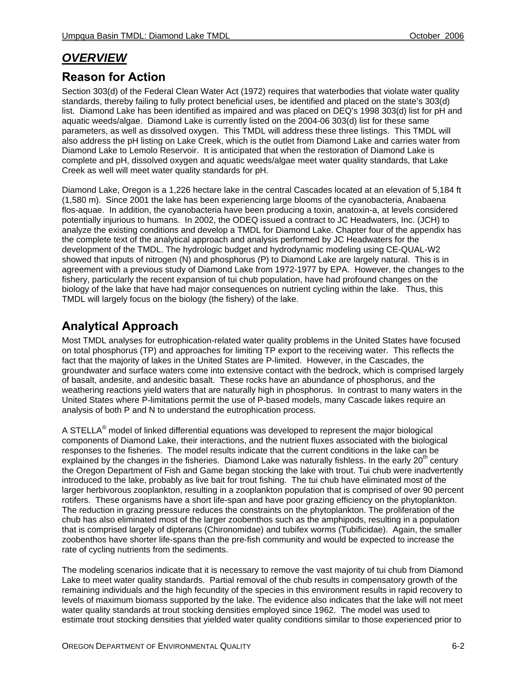# *OVERVIEW*

## **Reason for Action**

Section 303(d) of the Federal Clean Water Act (1972) requires that waterbodies that violate water quality standards, thereby failing to fully protect beneficial uses, be identified and placed on the state's 303(d) list. Diamond Lake has been identified as impaired and was placed on DEQ's 1998 303(d) list for pH and aquatic weeds/algae. Diamond Lake is currently listed on the 2004-06 303(d) list for these same parameters, as well as dissolved oxygen. This TMDL will address these three listings. This TMDL will also address the pH listing on Lake Creek, which is the outlet from Diamond Lake and carries water from Diamond Lake to Lemolo Reservoir. It is anticipated that when the restoration of Diamond Lake is complete and pH, dissolved oxygen and aquatic weeds/algae meet water quality standards, that Lake Creek as well will meet water quality standards for pH.

Diamond Lake, Oregon is a 1,226 hectare lake in the central Cascades located at an elevation of 5,184 ft (1,580 m). Since 2001 the lake has been experiencing large blooms of the cyanobacteria, Anabaena flos-aquae. In addition, the cyanobacteria have been producing a toxin, anatoxin-a, at levels considered potentially injurious to humans. In 2002, the ODEQ issued a contract to JC Headwaters, Inc. (JCH) to analyze the existing conditions and develop a TMDL for Diamond Lake. Chapter four of the appendix has the complete text of the analytical approach and analysis performed by JC Headwaters for the development of the TMDL. The hydrologic budget and hydrodynamic modeling using CE-QUAL-W2 showed that inputs of nitrogen (N) and phosphorus (P) to Diamond Lake are largely natural. This is in agreement with a previous study of Diamond Lake from 1972-1977 by EPA. However, the changes to the fishery, particularly the recent expansion of tui chub population, have had profound changes on the biology of the lake that have had major consequences on nutrient cycling within the lake. Thus, this TMDL will largely focus on the biology (the fishery) of the lake.

## **Analytical Approach**

Most TMDL analyses for eutrophication-related water quality problems in the United States have focused on total phosphorus (TP) and approaches for limiting TP export to the receiving water. This reflects the fact that the majority of lakes in the United States are P-limited. However, in the Cascades, the groundwater and surface waters come into extensive contact with the bedrock, which is comprised largely of basalt, andesite, and andesitic basalt. These rocks have an abundance of phosphorus, and the weathering reactions yield waters that are naturally high in phosphorus. In contrast to many waters in the United States where P-limitations permit the use of P-based models, many Cascade lakes require an analysis of both P and N to understand the eutrophication process.

A STELLA® model of linked differential equations was developed to represent the major biological components of Diamond Lake, their interactions, and the nutrient fluxes associated with the biological responses to the fisheries. The model results indicate that the current conditions in the lake can be explained by the changes in the fisheries. Diamond Lake was naturally fishless. In the early  $20<sup>th</sup>$  century the Oregon Department of Fish and Game began stocking the lake with trout. Tui chub were inadvertently introduced to the lake, probably as live bait for trout fishing. The tui chub have eliminated most of the larger herbivorous zooplankton, resulting in a zooplankton population that is comprised of over 90 percent rotifers. These organisms have a short life-span and have poor grazing efficiency on the phytoplankton. The reduction in grazing pressure reduces the constraints on the phytoplankton. The proliferation of the chub has also eliminated most of the larger zoobenthos such as the amphipods, resulting in a population that is comprised largely of dipterans (Chironomidae) and tubifex worms (Tubificidae). Again, the smaller zoobenthos have shorter life-spans than the pre-fish community and would be expected to increase the rate of cycling nutrients from the sediments.

The modeling scenarios indicate that it is necessary to remove the vast majority of tui chub from Diamond Lake to meet water quality standards. Partial removal of the chub results in compensatory growth of the remaining individuals and the high fecundity of the species in this environment results in rapid recovery to levels of maximum biomass supported by the lake. The evidence also indicates that the lake will not meet water quality standards at trout stocking densities employed since 1962. The model was used to estimate trout stocking densities that yielded water quality conditions similar to those experienced prior to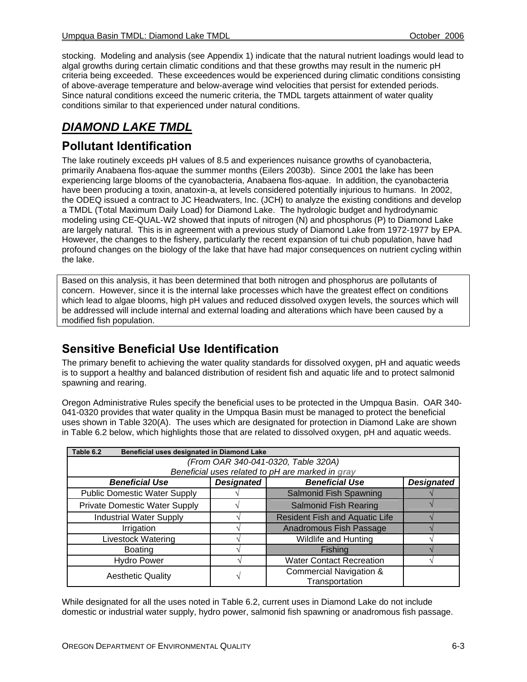stocking. Modeling and analysis (see Appendix 1) indicate that the natural nutrient loadings would lead to algal growths during certain climatic conditions and that these growths may result in the numeric pH criteria being exceeded. These exceedences would be experienced during climatic conditions consisting of above-average temperature and below-average wind velocities that persist for extended periods. Since natural conditions exceed the numeric criteria, the TMDL targets attainment of water quality conditions similar to that experienced under natural conditions.

## *DIAMOND LAKE TMDL*

### **Pollutant Identification**

The lake routinely exceeds pH values of 8.5 and experiences nuisance growths of cyanobacteria, primarily Anabaena flos-aquae the summer months (Eilers 2003b). Since 2001 the lake has been experiencing large blooms of the cyanobacteria, Anabaena flos-aquae. In addition, the cyanobacteria have been producing a toxin, anatoxin-a, at levels considered potentially injurious to humans. In 2002, the ODEQ issued a contract to JC Headwaters, Inc. (JCH) to analyze the existing conditions and develop a TMDL (Total Maximum Daily Load) for Diamond Lake. The hydrologic budget and hydrodynamic modeling using CE-QUAL-W2 showed that inputs of nitrogen (N) and phosphorus (P) to Diamond Lake are largely natural. This is in agreement with a previous study of Diamond Lake from 1972-1977 by EPA. However, the changes to the fishery, particularly the recent expansion of tui chub population, have had profound changes on the biology of the lake that have had major consequences on nutrient cycling within the lake.

Based on this analysis, it has been determined that both nitrogen and phosphorus are pollutants of concern. However, since it is the internal lake processes which have the greatest effect on conditions which lead to algae blooms, high pH values and reduced dissolved oxygen levels, the sources which will be addressed will include internal and external loading and alterations which have been caused by a modified fish population.

## **Sensitive Beneficial Use Identification**

The primary benefit to achieving the water quality standards for dissolved oxygen, pH and aquatic weeds is to support a healthy and balanced distribution of resident fish and aquatic life and to protect salmonid spawning and rearing.

Oregon Administrative Rules specify the beneficial uses to be protected in the Umpqua Basin. OAR 340- 041-0320 provides that water quality in the Umpqua Basin must be managed to protect the beneficial uses shown in Table 320(A). The uses which are designated for protection in Diamond Lake are shown in Table 6.2 below, which highlights those that are related to dissolved oxygen, pH and aquatic weeds.

| Table 6.2<br>Beneficial uses designated in Diamond Lake             |   |                                                      |  |  |  |  |  |  |
|---------------------------------------------------------------------|---|------------------------------------------------------|--|--|--|--|--|--|
| (From OAR 340-041-0320, Table 320A)                                 |   |                                                      |  |  |  |  |  |  |
| Beneficial uses related to pH are marked in gray                    |   |                                                      |  |  |  |  |  |  |
| <b>Beneficial Use</b><br><b>Designated</b><br><b>Beneficial Use</b> |   |                                                      |  |  |  |  |  |  |
| <b>Public Domestic Water Supply</b>                                 |   | <b>Salmonid Fish Spawning</b>                        |  |  |  |  |  |  |
| <b>Private Domestic Water Supply</b>                                |   | <b>Salmonid Fish Rearing</b>                         |  |  |  |  |  |  |
| <b>Industrial Water Supply</b>                                      |   | <b>Resident Fish and Aquatic Life</b>                |  |  |  |  |  |  |
| Irrigation                                                          |   | Anadromous Fish Passage                              |  |  |  |  |  |  |
| <b>Livestock Watering</b>                                           |   | <b>Wildlife and Hunting</b>                          |  |  |  |  |  |  |
| <b>Boating</b>                                                      |   | Fishing                                              |  |  |  |  |  |  |
| <b>Hydro Power</b>                                                  |   | <b>Water Contact Recreation</b>                      |  |  |  |  |  |  |
| <b>Aesthetic Quality</b>                                            | ٦ | <b>Commercial Navigation &amp;</b><br>Transportation |  |  |  |  |  |  |

While designated for all the uses noted in Table 6.2, current uses in Diamond Lake do not include domestic or industrial water supply, hydro power, salmonid fish spawning or anadromous fish passage.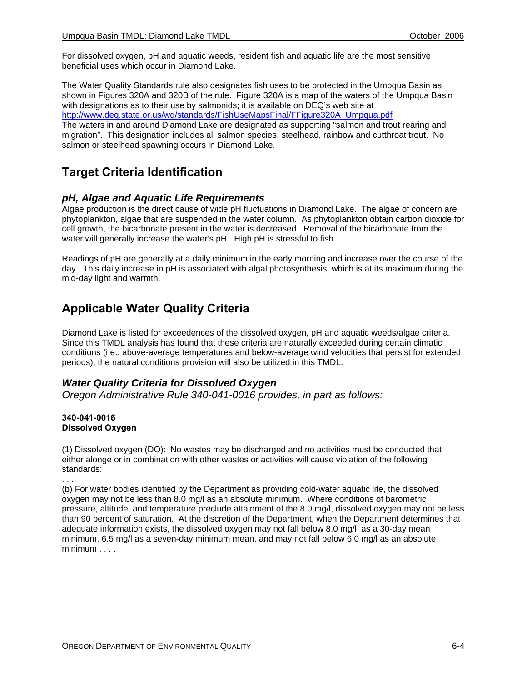For dissolved oxygen, pH and aquatic weeds, resident fish and aquatic life are the most sensitive beneficial uses which occur in Diamond Lake.

The Water Quality Standards rule also designates fish uses to be protected in the Umpqua Basin as shown in Figures 320A and 320B of the rule. Figure 320A is a map of the waters of the Umpqua Basin with designations as to their use by salmonids; it is available on DEQ's web site at http://www.deq.state.or.us/wq/standards/FishUseMapsFinal/FFigure320A\_Umpqua.pdf The waters in and around Diamond Lake are designated as supporting "salmon and trout rearing and migration". This designation includes all salmon species, steelhead, rainbow and cutthroat trout. No salmon or steelhead spawning occurs in Diamond Lake.

### **Target Criteria Identification**

### *pH, Algae and Aquatic Life Requirements*

Algae production is the direct cause of wide pH fluctuations in Diamond Lake. The algae of concern are phytoplankton, algae that are suspended in the water column. As phytoplankton obtain carbon dioxide for cell growth, the bicarbonate present in the water is decreased. Removal of the bicarbonate from the water will generally increase the water's pH. High pH is stressful to fish.

Readings of pH are generally at a daily minimum in the early morning and increase over the course of the day. This daily increase in pH is associated with algal photosynthesis, which is at its maximum during the mid-day light and warmth.

## **Applicable Water Quality Criteria**

Diamond Lake is listed for exceedences of the dissolved oxygen, pH and aquatic weeds/algae criteria. Since this TMDL analysis has found that these criteria are naturally exceeded during certain climatic conditions (i.e., above-average temperatures and below-average wind velocities that persist for extended periods), the natural conditions provision will also be utilized in this TMDL.

### *Water Quality Criteria for Dissolved Oxygen*

*Oregon Administrative Rule 340-041-0016 provides, in part as follows:* 

#### **340-041-0016 Dissolved Oxygen**

. . .

(1) Dissolved oxygen (DO): No wastes may be discharged and no activities must be conducted that either alonge or in combination with other wastes or activities will cause violation of the following standards:

(b) For water bodies identified by the Department as providing cold-water aquatic life, the dissolved oxygen may not be less than 8.0 mg/l as an absolute minimum. Where conditions of barometric pressure, altitude, and temperature preclude attainment of the 8.0 mg/l, dissolved oxygen may not be less than 90 percent of saturation. At the discretion of the Department, when the Department determines that adequate information exists, the dissolved oxygen may not fall below 8.0 mg/l as a 30-day mean minimum, 6.5 mg/l as a seven-day minimum mean, and may not fall below 6.0 mg/l as an absolute minimum . . . .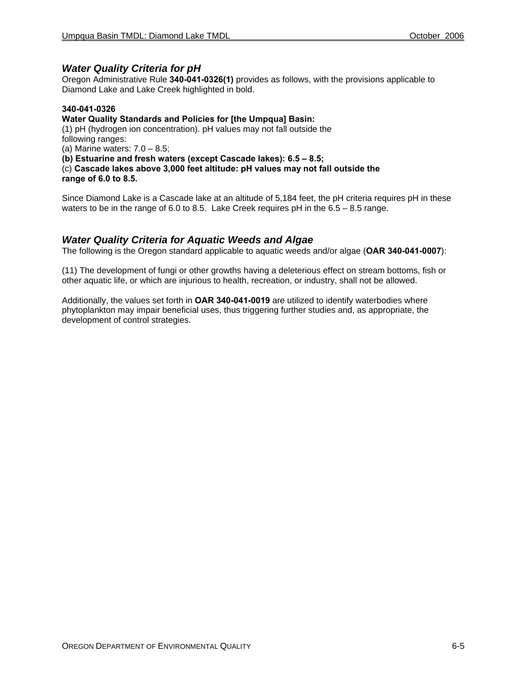### *Water Quality Criteria for pH*

Oregon Administrative Rule **340-041-0326(1)** provides as follows, with the provisions applicable to Diamond Lake and Lake Creek highlighted in bold.

#### **340-041-0326**

#### **Water Quality Standards and Policies for [the Umpqua] Basin:**

(1) pH (hydrogen ion concentration). pH values may not fall outside the following ranges:

(a) Marine waters:  $7.0 - 8.5$ ;

**(b) Estuarine and fresh waters (except Cascade lakes): 6.5 – 8.5;** 

(c) **Cascade lakes above 3,000 feet altitude: pH values may not fall outside the range of 6.0 to 8.5.** 

Since Diamond Lake is a Cascade lake at an altitude of 5,184 feet, the pH criteria requires pH in these waters to be in the range of 6.0 to 8.5. Lake Creek requires pH in the 6.5 – 8.5 range.

#### *Water Quality Criteria for Aquatic Weeds and Algae*

The following is the Oregon standard applicable to aquatic weeds and/or algae (**OAR 340-041-0007**):

(11) The development of fungi or other growths having a deleterious effect on stream bottoms, fish or other aquatic life, or which are injurious to health, recreation, or industry, shall not be allowed.

Additionally, the values set forth in **OAR 340-041-0019** are utilized to identify waterbodies where phytoplankton may impair beneficial uses, thus triggering further studies and, as appropriate, the development of control strategies.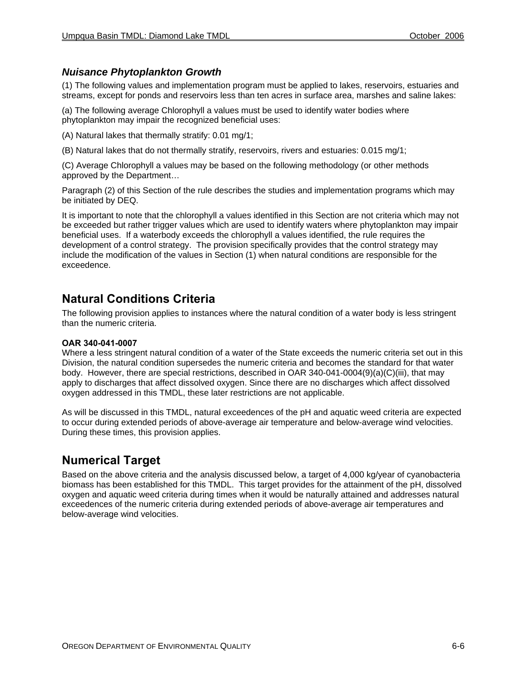#### *Nuisance Phytoplankton Growth*

(1) The following values and implementation program must be applied to lakes, reservoirs, estuaries and streams, except for ponds and reservoirs less than ten acres in surface area, marshes and saline lakes:

(a) The following average Chlorophyll a values must be used to identify water bodies where phytoplankton may impair the recognized beneficial uses:

(A) Natural lakes that thermally stratify: 0.01 mg/1;

(B) Natural lakes that do not thermally stratify, reservoirs, rivers and estuaries: 0.015 mg/1;

(C) Average Chlorophyll a values may be based on the following methodology (or other methods approved by the Department…

Paragraph (2) of this Section of the rule describes the studies and implementation programs which may be initiated by DEQ.

It is important to note that the chlorophyll a values identified in this Section are not criteria which may not be exceeded but rather trigger values which are used to identify waters where phytoplankton may impair beneficial uses. If a waterbody exceeds the chlorophyll a values identified, the rule requires the development of a control strategy. The provision specifically provides that the control strategy may include the modification of the values in Section (1) when natural conditions are responsible for the exceedence.

### **Natural Conditions Criteria**

The following provision applies to instances where the natural condition of a water body is less stringent than the numeric criteria.

#### **OAR 340-041-0007**

Where a less stringent natural condition of a water of the State exceeds the numeric criteria set out in this Division, the natural condition supersedes the numeric criteria and becomes the standard for that water body. However, there are special restrictions, described in OAR 340-041-0004(9)(a)(C)(iii), that may apply to discharges that affect dissolved oxygen. Since there are no discharges which affect dissolved oxygen addressed in this TMDL, these later restrictions are not applicable.

As will be discussed in this TMDL, natural exceedences of the pH and aquatic weed criteria are expected to occur during extended periods of above-average air temperature and below-average wind velocities. During these times, this provision applies.

### **Numerical Target**

Based on the above criteria and the analysis discussed below, a target of 4,000 kg/year of cyanobacteria biomass has been established for this TMDL. This target provides for the attainment of the pH, dissolved oxygen and aquatic weed criteria during times when it would be naturally attained and addresses natural exceedences of the numeric criteria during extended periods of above-average air temperatures and below-average wind velocities.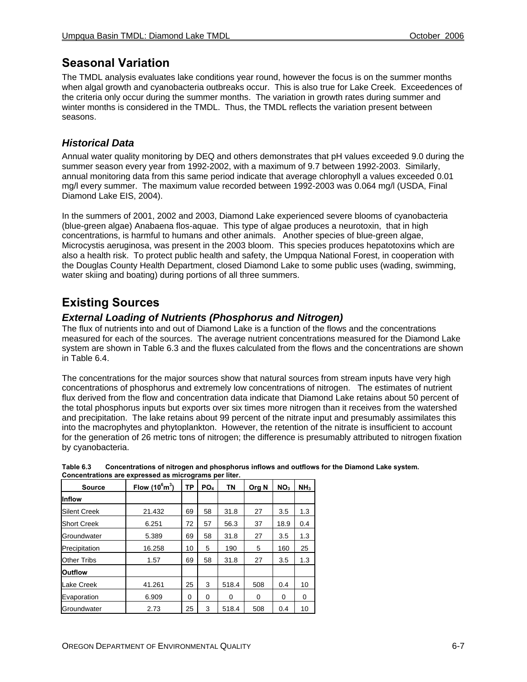## **Seasonal Variation**

The TMDL analysis evaluates lake conditions year round, however the focus is on the summer months when algal growth and cyanobacteria outbreaks occur. This is also true for Lake Creek. Exceedences of the criteria only occur during the summer months. The variation in growth rates during summer and winter months is considered in the TMDL. Thus, the TMDL reflects the variation present between seasons.

### *Historical Data*

Annual water quality monitoring by DEQ and others demonstrates that pH values exceeded 9.0 during the summer season every year from 1992-2002, with a maximum of 9.7 between 1992-2003. Similarly, annual monitoring data from this same period indicate that average chlorophyll a values exceeded 0.01 mg/l every summer. The maximum value recorded between 1992-2003 was 0.064 mg/l (USDA, Final Diamond Lake EIS, 2004).

In the summers of 2001, 2002 and 2003, Diamond Lake experienced severe blooms of cyanobacteria (blue-green algae) Anabaena flos-aquae. This type of algae produces a neurotoxin, that in high concentrations, is harmful to humans and other animals. Another species of blue-green algae, Microcystis aeruginosa, was present in the 2003 bloom. This species produces hepatotoxins which are also a health risk. To protect public health and safety, the Umpqua National Forest, in cooperation with the Douglas County Health Department, closed Diamond Lake to some public uses (wading, swimming, water skiing and boating) during portions of all three summers.

# **Existing Sources**

### *External Loading of Nutrients (Phosphorus and Nitrogen)*

The flux of nutrients into and out of Diamond Lake is a function of the flows and the concentrations measured for each of the sources. The average nutrient concentrations measured for the Diamond Lake system are shown in Table 6.3 and the fluxes calculated from the flows and the concentrations are shown in Table 6.4.

The concentrations for the major sources show that natural sources from stream inputs have very high concentrations of phosphorus and extremely low concentrations of nitrogen. The estimates of nutrient flux derived from the flow and concentration data indicate that Diamond Lake retains about 50 percent of the total phosphorus inputs but exports over six times more nitrogen than it receives from the watershed and precipitation. The lake retains about 99 percent of the nitrate input and presumably assimilates this into the macrophytes and phytoplankton. However, the retention of the nitrate is insufficient to account for the generation of 26 metric tons of nitrogen; the difference is presumably attributed to nitrogen fixation by cyanobacteria.

| Source              | ТP     | PO <sub>4</sub> | <b>TN</b> | Org N    | NO <sub>3</sub> | NH <sub>3</sub> |     |
|---------------------|--------|-----------------|-----------|----------|-----------------|-----------------|-----|
| <b>Inflow</b>       |        |                 |           |          |                 |                 |     |
| <b>Silent Creek</b> | 21.432 | 69              | 58        | 31.8     | 27              | 3.5             | 1.3 |
| <b>Short Creek</b>  | 6.251  | 72              | 57        | 56.3     | 37              | 18.9            | 0.4 |
| Groundwater         | 5.389  | 69              | 58        | 31.8     | 27              | 3.5             | 1.3 |
| Precipitation       | 16.258 | 10              | 5         | 190      | 5               | 160             | 25  |
| <b>Other Tribs</b>  | 1.57   | 69              | 58        | 31.8     | 27              | 3.5             | 1.3 |
| <b>Outflow</b>      |        |                 |           |          |                 |                 |     |
| Lake Creek          | 41.261 | 25              | 3         | 518.4    | 508             | 0.4             | 10  |
| Evaporation         | 6.909  | $\Omega$        | 0         | $\Omega$ | 0               | 0               | 0   |
| Groundwater         | 2.73   | 25              | 3         | 518.4    | 508             | 0.4             | 10  |

| Table 6.3                                             |  |  |  |  | Concentrations of nitrogen and phosphorus inflows and outflows for the Diamond Lake system. |
|-------------------------------------------------------|--|--|--|--|---------------------------------------------------------------------------------------------|
| Concentrations are expressed as micrograms per liter. |  |  |  |  |                                                                                             |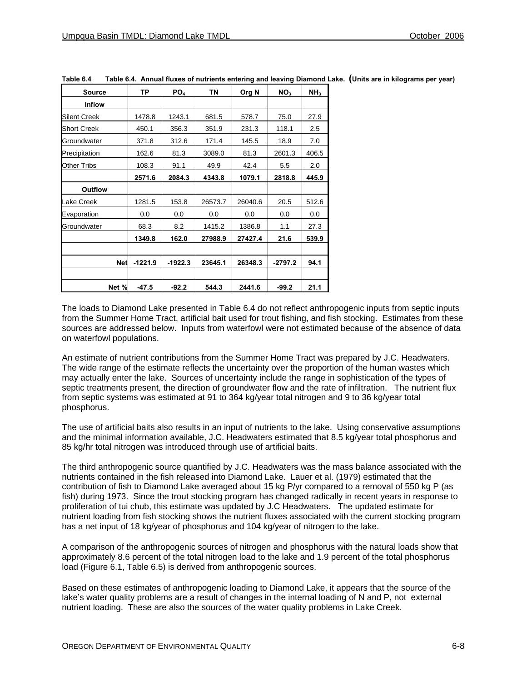| <b>Source</b>       | ТP        | PO <sub>4</sub> | <b>TN</b> | Org N   | NO <sub>3</sub> | NH <sub>3</sub> |
|---------------------|-----------|-----------------|-----------|---------|-----------------|-----------------|
| <b>Inflow</b>       |           |                 |           |         |                 |                 |
| <b>Silent Creek</b> | 1478.8    | 1243.1          | 681.5     | 578.7   | 75.0            | 27.9            |
| <b>Short Creek</b>  | 450.1     | 356.3           | 351.9     | 231.3   | 118.1           | 2.5             |
| Groundwater         | 371.8     | 312.6           | 171.4     | 145.5   | 18.9            | 7.0             |
| Precipitation       | 162.6     | 81.3            | 3089.0    | 81.3    | 2601.3          | 406.5           |
| Other Tribs         | 108.3     | 91.1            | 49.9      | 42.4    | 5.5             | 2.0             |
|                     | 2571.6    | 2084.3          | 4343.8    | 1079.1  | 2818.8          | 445.9           |
| <b>Outflow</b>      |           |                 |           |         |                 |                 |
| Lake Creek          | 1281.5    | 153.8           | 26573.7   | 26040.6 | 20.5            | 512.6           |
| Evaporation         | 0.0       | 0.0             | 0.0       | 0.0     | 0.0             | 0.0             |
| Groundwater         | 68.3      | 8.2             | 1415.2    | 1386.8  | 1.1             | 27.3            |
|                     | 1349.8    | 162.0           | 27988.9   | 27427.4 | 21.6            | 539.9           |
|                     |           |                 |           |         |                 |                 |
| <b>Net</b>          | $-1221.9$ | $-1922.3$       | 23645.1   | 26348.3 | $-2797.2$       | 94.1            |
|                     |           |                 |           |         |                 |                 |
| Net %               | $-47.5$   | $-92.2$         | 544.3     | 2441.6  | $-99.2$         | 21.1            |

**Table 6.4 Table 6.4. Annual fluxes of nutrients entering and leaving Diamond Lake. (Units are in kilograms per year)** 

The loads to Diamond Lake presented in Table 6.4 do not reflect anthropogenic inputs from septic inputs from the Summer Home Tract, artificial bait used for trout fishing, and fish stocking. Estimates from these sources are addressed below. Inputs from waterfowl were not estimated because of the absence of data on waterfowl populations.

An estimate of nutrient contributions from the Summer Home Tract was prepared by J.C. Headwaters. The wide range of the estimate reflects the uncertainty over the proportion of the human wastes which may actually enter the lake. Sources of uncertainty include the range in sophistication of the types of septic treatments present, the direction of groundwater flow and the rate of infiltration. The nutrient flux from septic systems was estimated at 91 to 364 kg/year total nitrogen and 9 to 36 kg/year total phosphorus.

The use of artificial baits also results in an input of nutrients to the lake. Using conservative assumptions and the minimal information available, J.C. Headwaters estimated that 8.5 kg/year total phosphorus and 85 kg/hr total nitrogen was introduced through use of artificial baits.

The third anthropogenic source quantified by J.C. Headwaters was the mass balance associated with the nutrients contained in the fish released into Diamond Lake. Lauer et al. (1979) estimated that the contribution of fish to Diamond Lake averaged about 15 kg P/yr compared to a removal of 550 kg P (as fish) during 1973. Since the trout stocking program has changed radically in recent years in response to proliferation of tui chub, this estimate was updated by J.C Headwaters. The updated estimate for nutrient loading from fish stocking shows the nutrient fluxes associated with the current stocking program has a net input of 18 kg/year of phosphorus and 104 kg/year of nitrogen to the lake.

A comparison of the anthropogenic sources of nitrogen and phosphorus with the natural loads show that approximately 8.6 percent of the total nitrogen load to the lake and 1.9 percent of the total phosphorus load (Figure 6.1, Table 6.5) is derived from anthropogenic sources.

Based on these estimates of anthropogenic loading to Diamond Lake, it appears that the source of the lake's water quality problems are a result of changes in the internal loading of N and P, not external nutrient loading. These are also the sources of the water quality problems in Lake Creek.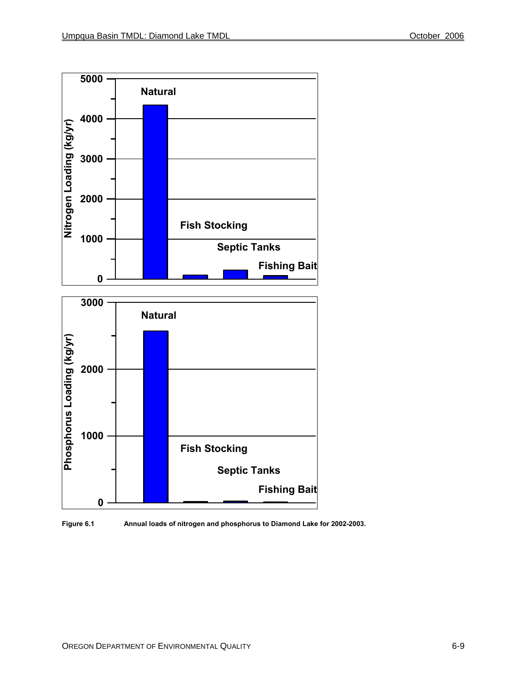

**Figure 6.1 Annual loads of nitrogen and phosphorus to Diamond Lake for 2002-2003.**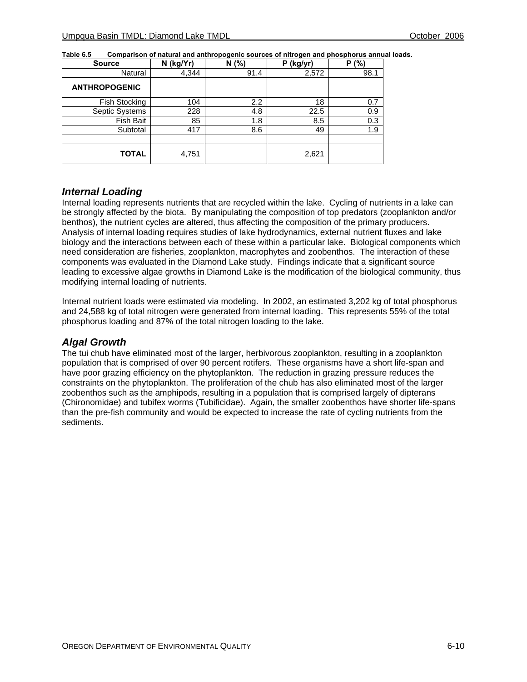| N (kg/Yr) |      | N(% )<br>$P$ (kg/yr) |      |
|-----------|------|----------------------|------|
| 4,344     | 91.4 | 2,572                | 98.1 |
|           |      |                      |      |
| 104       | 2.2  | 18                   | 0.7  |
| 228       | 4.8  | 22.5                 | 0.9  |
| 85        | 1.8  | 8.5                  | 0.3  |
| 417       | 8.6  | 49                   | 1.9  |
|           |      |                      |      |
| 4,751     |      | 2,621                |      |
|           |      |                      |      |

| Table 6.5 |                                                                                          |  |
|-----------|------------------------------------------------------------------------------------------|--|
|           | Comparison of natural and anthropogenic sources of nitrogen and phosphorus annual loads. |  |

#### *Internal Loading*

Internal loading represents nutrients that are recycled within the lake. Cycling of nutrients in a lake can be strongly affected by the biota. By manipulating the composition of top predators (zooplankton and/or benthos), the nutrient cycles are altered, thus affecting the composition of the primary producers. Analysis of internal loading requires studies of lake hydrodynamics, external nutrient fluxes and lake biology and the interactions between each of these within a particular lake. Biological components which need consideration are fisheries, zooplankton, macrophytes and zoobenthos. The interaction of these components was evaluated in the Diamond Lake study. Findings indicate that a significant source leading to excessive algae growths in Diamond Lake is the modification of the biological community, thus modifying internal loading of nutrients.

Internal nutrient loads were estimated via modeling. In 2002, an estimated 3,202 kg of total phosphorus and 24,588 kg of total nitrogen were generated from internal loading. This represents 55% of the total phosphorus loading and 87% of the total nitrogen loading to the lake.

#### *Algal Growth*

The tui chub have eliminated most of the larger, herbivorous zooplankton, resulting in a zooplankton population that is comprised of over 90 percent rotifers. These organisms have a short life-span and have poor grazing efficiency on the phytoplankton. The reduction in grazing pressure reduces the constraints on the phytoplankton. The proliferation of the chub has also eliminated most of the larger zoobenthos such as the amphipods, resulting in a population that is comprised largely of dipterans (Chironomidae) and tubifex worms (Tubificidae). Again, the smaller zoobenthos have shorter life-spans than the pre-fish community and would be expected to increase the rate of cycling nutrients from the sediments.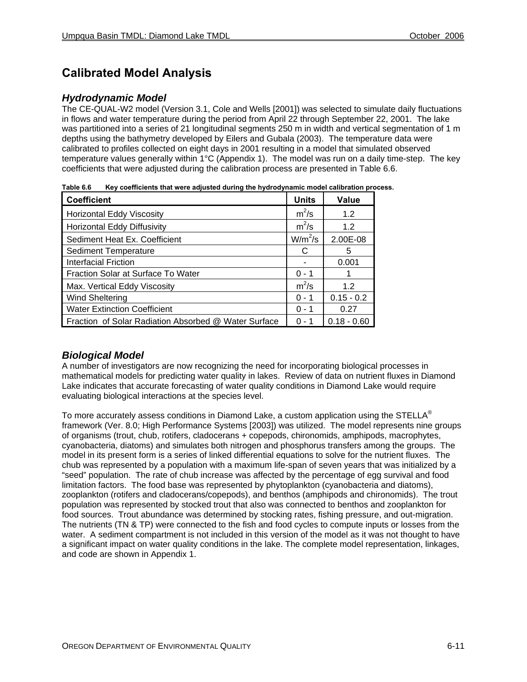## **Calibrated Model Analysis**

### *Hydrodynamic Model*

The CE-QUAL-W2 model (Version 3.1, Cole and Wells [2001]) was selected to simulate daily fluctuations in flows and water temperature during the period from April 22 through September 22, 2001. The lake was partitioned into a series of 21 longitudinal segments 250 m in width and vertical segmentation of 1 m depths using the bathymetry developed by Eilers and Gubala (2003). The temperature data were calibrated to profiles collected on eight days in 2001 resulting in a model that simulated observed temperature values generally within 1°C (Appendix 1). The model was run on a daily time-step. The key coefficients that were adjusted during the calibration process are presented in Table 6.6.

**Table 6.6 Key coefficients that were adjusted during the hydrodynamic model calibration process.** 

| <b>Coefficient</b>                                   | <b>Units</b> | <b>Value</b>  |
|------------------------------------------------------|--------------|---------------|
| <b>Horizontal Eddy Viscosity</b>                     | $m^2/s$      | 1.2           |
| <b>Horizontal Eddy Diffusivity</b>                   | $m^2/s$      | 1.2           |
| Sediment Heat Ex. Coefficient                        | $W/m^2/s$    | 2.00E-08      |
| <b>Sediment Temperature</b>                          | С            | 5             |
| <b>Interfacial Friction</b>                          |              | 0.001         |
| Fraction Solar at Surface To Water                   | $0 - 1$      | 1             |
| Max. Vertical Eddy Viscosity                         | $m^2/s$      | 1.2           |
| <b>Wind Sheltering</b>                               | $0 - 1$      | $0.15 - 0.2$  |
| <b>Water Extinction Coefficient</b>                  | $0 - 1$      | 0.27          |
| Fraction of Solar Radiation Absorbed @ Water Surface | ი - 1        | $0.18 - 0.60$ |

### *Biological Model*

A number of investigators are now recognizing the need for incorporating biological processes in mathematical models for predicting water quality in lakes. Review of data on nutrient fluxes in Diamond Lake indicates that accurate forecasting of water quality conditions in Diamond Lake would require evaluating biological interactions at the species level.

To more accurately assess conditions in Diamond Lake, a custom application using the STELLA<sup>®</sup> framework (Ver. 8.0; High Performance Systems [2003]) was utilized. The model represents nine groups of organisms (trout, chub, rotifers, cladocerans + copepods, chironomids, amphipods, macrophytes, cyanobacteria, diatoms) and simulates both nitrogen and phosphorus transfers among the groups. The model in its present form is a series of linked differential equations to solve for the nutrient fluxes. The chub was represented by a population with a maximum life-span of seven years that was initialized by a "seed" population. The rate of chub increase was affected by the percentage of egg survival and food limitation factors. The food base was represented by phytoplankton (cyanobacteria and diatoms), zooplankton (rotifers and cladocerans/copepods), and benthos (amphipods and chironomids). The trout population was represented by stocked trout that also was connected to benthos and zooplankton for food sources. Trout abundance was determined by stocking rates, fishing pressure, and out-migration. The nutrients (TN & TP) were connected to the fish and food cycles to compute inputs or losses from the water. A sediment compartment is not included in this version of the model as it was not thought to have a significant impact on water quality conditions in the lake. The complete model representation, linkages, and code are shown in Appendix 1.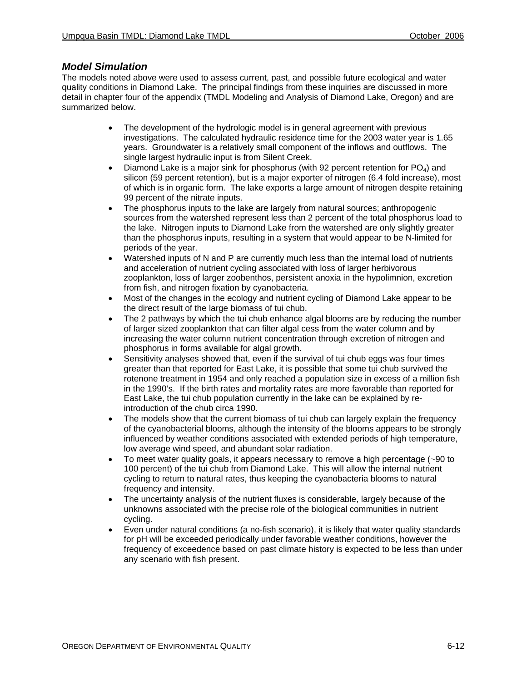#### *Model Simulation*

The models noted above were used to assess current, past, and possible future ecological and water quality conditions in Diamond Lake. The principal findings from these inquiries are discussed in more detail in chapter four of the appendix (TMDL Modeling and Analysis of Diamond Lake, Oregon) and are summarized below.

- The development of the hydrologic model is in general agreement with previous investigations. The calculated hydraulic residence time for the 2003 water year is 1.65 years. Groundwater is a relatively small component of the inflows and outflows. The single largest hydraulic input is from Silent Creek.
- Diamond Lake is a major sink for phosphorus (with 92 percent retention for  $PQ_4$ ) and silicon (59 percent retention), but is a major exporter of nitrogen (6.4 fold increase), most of which is in organic form. The lake exports a large amount of nitrogen despite retaining 99 percent of the nitrate inputs.
- The phosphorus inputs to the lake are largely from natural sources; anthropogenic sources from the watershed represent less than 2 percent of the total phosphorus load to the lake. Nitrogen inputs to Diamond Lake from the watershed are only slightly greater than the phosphorus inputs, resulting in a system that would appear to be N-limited for periods of the year.
- Watershed inputs of N and P are currently much less than the internal load of nutrients and acceleration of nutrient cycling associated with loss of larger herbivorous zooplankton, loss of larger zoobenthos, persistent anoxia in the hypolimnion, excretion from fish, and nitrogen fixation by cyanobacteria.
- Most of the changes in the ecology and nutrient cycling of Diamond Lake appear to be the direct result of the large biomass of tui chub.
- The 2 pathways by which the tui chub enhance algal blooms are by reducing the number of larger sized zooplankton that can filter algal cess from the water column and by increasing the water column nutrient concentration through excretion of nitrogen and phosphorus in forms available for algal growth.
- Sensitivity analyses showed that, even if the survival of tui chub eggs was four times greater than that reported for East Lake, it is possible that some tui chub survived the rotenone treatment in 1954 and only reached a population size in excess of a million fish in the 1990's. If the birth rates and mortality rates are more favorable than reported for East Lake, the tui chub population currently in the lake can be explained by reintroduction of the chub circa 1990.
- The models show that the current biomass of tui chub can largely explain the frequency of the cyanobacterial blooms, although the intensity of the blooms appears to be strongly influenced by weather conditions associated with extended periods of high temperature, low average wind speed, and abundant solar radiation.
- To meet water quality goals, it appears necessary to remove a high percentage (~90 to 100 percent) of the tui chub from Diamond Lake. This will allow the internal nutrient cycling to return to natural rates, thus keeping the cyanobacteria blooms to natural frequency and intensity.
- The uncertainty analysis of the nutrient fluxes is considerable, largely because of the unknowns associated with the precise role of the biological communities in nutrient cycling.
- Even under natural conditions (a no-fish scenario), it is likely that water quality standards for pH will be exceeded periodically under favorable weather conditions, however the frequency of exceedence based on past climate history is expected to be less than under any scenario with fish present.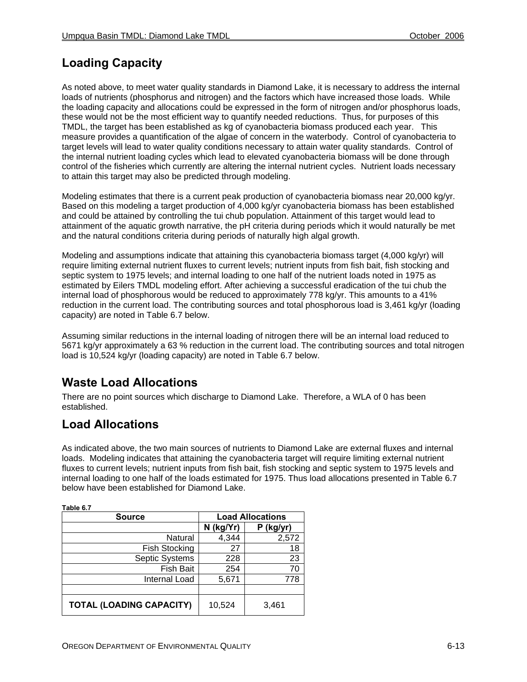# **Loading Capacity**

As noted above, to meet water quality standards in Diamond Lake, it is necessary to address the internal loads of nutrients (phosphorus and nitrogen) and the factors which have increased those loads. While the loading capacity and allocations could be expressed in the form of nitrogen and/or phosphorus loads, these would not be the most efficient way to quantify needed reductions. Thus, for purposes of this TMDL, the target has been established as kg of cyanobacteria biomass produced each year. This measure provides a quantification of the algae of concern in the waterbody. Control of cyanobacteria to target levels will lead to water quality conditions necessary to attain water quality standards. Control of the internal nutrient loading cycles which lead to elevated cyanobacteria biomass will be done through control of the fisheries which currently are altering the internal nutrient cycles. Nutrient loads necessary to attain this target may also be predicted through modeling.

Modeling estimates that there is a current peak production of cyanobacteria biomass near 20,000 kg/yr. Based on this modeling a target production of 4,000 kg/yr cyanobacteria biomass has been established and could be attained by controlling the tui chub population. Attainment of this target would lead to attainment of the aquatic growth narrative, the pH criteria during periods which it would naturally be met and the natural conditions criteria during periods of naturally high algal growth.

Modeling and assumptions indicate that attaining this cyanobacteria biomass target (4,000 kg/yr) will require limiting external nutrient fluxes to current levels; nutrient inputs from fish bait, fish stocking and septic system to 1975 levels; and internal loading to one half of the nutrient loads noted in 1975 as estimated by Eilers TMDL modeling effort. After achieving a successful eradication of the tui chub the internal load of phosphorous would be reduced to approximately 778 kg/yr. This amounts to a 41% reduction in the current load. The contributing sources and total phosphorous load is 3,461 kg/yr (loading capacity) are noted in Table 6.7 below.

Assuming similar reductions in the internal loading of nitrogen there will be an internal load reduced to 5671 kg/yr approximately a 63 % reduction in the current load. The contributing sources and total nitrogen load is 10,524 kg/yr (loading capacity) are noted in Table 6.7 below.

# **Waste Load Allocations**

There are no point sources which discharge to Diamond Lake. Therefore, a WLA of 0 has been established.

## **Load Allocations**

**Table 6.7** 

٦

As indicated above, the two main sources of nutrients to Diamond Lake are external fluxes and internal loads. Modeling indicates that attaining the cyanobacteria target will require limiting external nutrient fluxes to current levels; nutrient inputs from fish bait, fish stocking and septic system to 1975 levels and internal loading to one half of the loads estimated for 1975. Thus load allocations presented in Table 6.7 below have been established for Diamond Lake.

| Table 6.7                       |                         |             |  |  |
|---------------------------------|-------------------------|-------------|--|--|
| <b>Source</b>                   | <b>Load Allocations</b> |             |  |  |
|                                 | N (kg/Yr)               | $P$ (kg/yr) |  |  |
| Natural                         | 4,344                   | 2,572       |  |  |
| <b>Fish Stocking</b>            | 27                      | 18          |  |  |
| <b>Septic Systems</b>           | 228                     | 23          |  |  |
| <b>Fish Bait</b>                | 254                     | 70          |  |  |
| Internal Load                   | 5,671                   | 778         |  |  |
|                                 |                         |             |  |  |
| <b>TOTAL (LOADING CAPACITY)</b> | 10,524                  | 3,461       |  |  |

OREGON DEPARTMENT OF ENVIRONMENTAL QUALITY **6-13** 6-13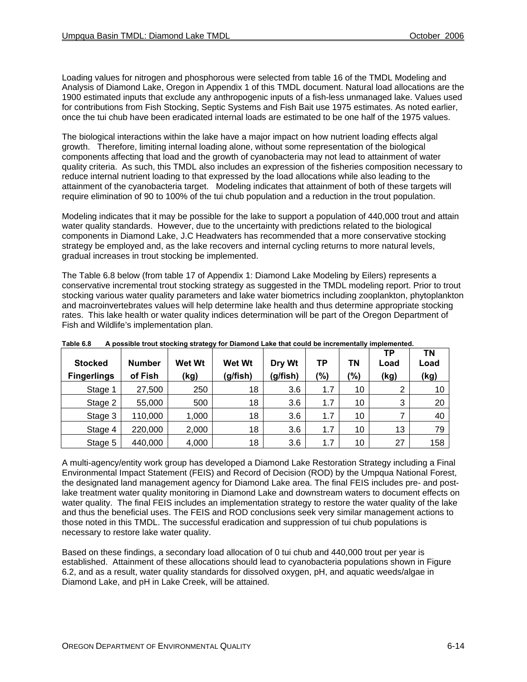Loading values for nitrogen and phosphorous were selected from table 16 of the TMDL Modeling and Analysis of Diamond Lake, Oregon in Appendix 1 of this TMDL document. Natural load allocations are the 1900 estimated inputs that exclude any anthropogenic inputs of a fish-less unmanaged lake. Values used for contributions from Fish Stocking, Septic Systems and Fish Bait use 1975 estimates. As noted earlier, once the tui chub have been eradicated internal loads are estimated to be one half of the 1975 values.

The biological interactions within the lake have a major impact on how nutrient loading effects algal growth. Therefore, limiting internal loading alone, without some representation of the biological components affecting that load and the growth of cyanobacteria may not lead to attainment of water quality criteria. As such, this TMDL also includes an expression of the fisheries composition necessary to reduce internal nutrient loading to that expressed by the load allocations while also leading to the attainment of the cyanobacteria target. Modeling indicates that attainment of both of these targets will require elimination of 90 to 100% of the tui chub population and a reduction in the trout population.

Modeling indicates that it may be possible for the lake to support a population of 440,000 trout and attain water quality standards. However, due to the uncertainty with predictions related to the biological components in Diamond Lake, J.C Headwaters has recommended that a more conservative stocking strategy be employed and, as the lake recovers and internal cycling returns to more natural levels, gradual increases in trout stocking be implemented.

The Table 6.8 below (from table 17 of Appendix 1: Diamond Lake Modeling by Eilers) represents a conservative incremental trout stocking strategy as suggested in the TMDL modeling report. Prior to trout stocking various water quality parameters and lake water biometrics including zooplankton, phytoplankton and macroinvertebrates values will help determine lake health and thus determine appropriate stocking rates. This lake health or water quality indices determination will be part of the Oregon Department of Fish and Wildlife's implementation plan.

| .<br>. .           |               |               |               |          |         |     |            |            |
|--------------------|---------------|---------------|---------------|----------|---------|-----|------------|------------|
| <b>Stocked</b>     | <b>Number</b> | <b>Wet Wt</b> | <b>Wet Wt</b> | Dry Wt   | TР      | ΤN  | TР<br>Load | ΤN<br>Load |
| <b>Fingerlings</b> | of Fish       | (kg)          | (g/fish)      | (g/fish) | $(\% )$ | (%) | (kg)       | (kg)       |
| Stage 1            | 27,500        | 250           | 18            | 3.6      | 1.7     | 10  | 2          | 10         |
| Stage 2            | 55,000        | 500           | 18            | 3.6      | 1.7     | 10  | 3          | 20         |
| Stage 3            | 110,000       | 1,000         | 18            | 3.6      | 1.7     | 10  |            | 40         |
| Stage 4            | 220,000       | 2,000         | 18            | 3.6      | 1.7     | 10  | 13         | 79         |
| Stage 5            | 440,000       | 4,000         | 18            | 3.6      | 1.7     | 10  | 27         | 158        |

**Table 6.8 A possible trout stocking strategy for Diamond Lake that could be incrementally implemented.** 

A multi-agency/entity work group has developed a Diamond Lake Restoration Strategy including a Final Environmental Impact Statement (FEIS) and Record of Decision (ROD) by the Umpqua National Forest, the designated land management agency for Diamond Lake area. The final FEIS includes pre- and postlake treatment water quality monitoring in Diamond Lake and downstream waters to document effects on water quality. The final FEIS includes an implementation strategy to restore the water quality of the lake and thus the beneficial uses. The FEIS and ROD conclusions seek very similar management actions to those noted in this TMDL. The successful eradication and suppression of tui chub populations is necessary to restore lake water quality.

Based on these findings, a secondary load allocation of 0 tui chub and 440,000 trout per year is established. Attainment of these allocations should lead to cyanobacteria populations shown in Figure 6.2, and as a result, water quality standards for dissolved oxygen, pH, and aquatic weeds/algae in Diamond Lake, and pH in Lake Creek, will be attained.